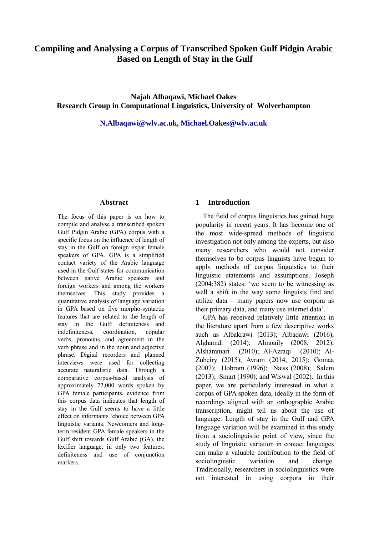# **Compiling and Analysing a Corpus of Transcribed Spoken Gulf Pidgin Arabic Based on Length of Stay in the Gulf**

**Najah Albaqawi, Michael Oakes Research Group in Computational Linguistics, University of Wolverhampton**

**[N.Albaqawi@wlv.ac.uk,](mailto:N.Albaqawi@wlv.ac.uk) [Michael.Oakes@wlv.ac.uk](mailto:Michael.Oakes@wlv.ac.uk)**

### **Abstract**

The focus of this paper is on how to compile and analyse a transcribed spoken Gulf Pidgin Arabic (GPA) corpus with a specific focus on the influence of length of stay in the Gulf on foreign expat female speakers of GPA. GPA is a simplified contact variety of the Arabic language used in the Gulf states for communication between native Arabic speakers and foreign workers and among the workers themselves. This study provides a quantitative analysis of language variation in GPA based on five morpho-syntactic features that are related to the length of stay in the Gulf: definiteness and indefiniteness, coordination, copular verbs, pronouns, and agreement in the verb phrase and in the noun and adjective phrase. Digital recorders and planned interviews were used for collecting accurate naturalistic data. Through a comparative corpus-based analysis of approximately 72,000 words spoken by GPA female participants, evidence from this corpus data indicates that length of stay in the Gulf seems to have a little effect on informants 'choice between GPA linguistic variants. Newcomers and longterm resident GPA female speakers in the Gulf shift towards Gulf Arabic (GA), the lexifier language, in only two features: definiteness and use of conjunction markers.

### **1 Introduction**

The field of corpus linguistics has gained huge popularity in recent years. It has become one of the most wide-spread methods of linguistic investigation not only among the experts, but also many researchers who would not consider themselves to be corpus linguists have begun to apply methods of corpus linguistics to their linguistic statements and assumptions. Joseph (2004:382) states: 'we seem to be witnessing as well a shift in the way some linguists find and utilize data – many papers now use corpora as their primary data, and many use internet data'.

GPA has received relatively little attention in the literature apart from a few descriptive works such as Albakrawi (2013); Albaqawi (2016); Alghamdi (2014); Almoaily (2008, 2012); Alshammari (2010); Al-Azraqi (2010); Al-Zubeiry (2015); Avram (2014, 2015); Gomaa (2007); Hobrom (1996); Næss (2008); Salem (2013); Smart (1990); and Wiswal (2002). In this paper, we are particularly interested in what a corpus of GPA spoken data, ideally in the form of recordings aligned with an orthographic Arabic transcription, might tell us about the use of language. Length of stay in the Gulf and GPA language variation will be examined in this study from a sociolinguistic point of view, since the study of linguistic variation in contact languages can make a valuable contribution to the field of sociolinguistic variation and change. Traditionally, researchers in sociolinguistics were not interested in using corpora in their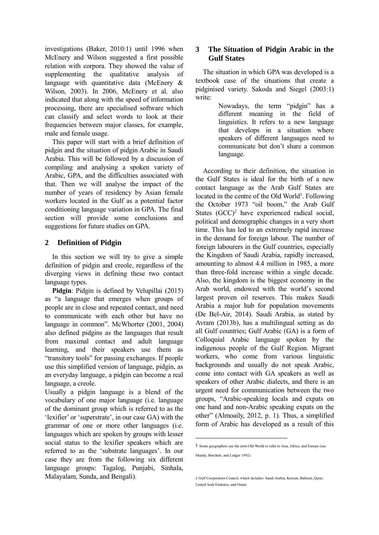investigations (Baker, 2010:1) until 1996 when McEnery and Wilson suggested a first possible relation with corpora. They showed the value of supplementing the qualitative analysis of language with quantitative data (McEnery  $\&$ Wilson, 2003). In 2006, McEnery et al. also indicated that along with the speed of information processing, there are specialised software which can classify and select words to look at their frequencies between major classes, for example, male and female usage.

This paper will start with a brief definition of pidgin and the situation of pidgin Arabic in Saudi Arabia. This will be followed by a discussion of compiling and analysing a spoken variety of Arabic, GPA, and the difficulties associated with that. Then we will analyse the impact of the number of years of residency by Asian female workers located in the Gulf as a potential factor conditioning language variation in GPA. The final section will provide some conclusions and suggestions for future studies on GPA.

# **2 Definition of Pidgin**

In this section we will try to give a simple definition of pidgin and creole, regardless of the diverging views in defining these two contact language types.

**Pidgin**: Pidgin is defined by Velupillai (2015) as "a language that emerges when groups of people are in close and repeated contact, and need to communicate with each other but have no language in common". McWhorter (2001, 2004) also defined pidgins as the languages that result from maximal contact and adult language learning, and their speakers use them as "transitory tools" for passing exchanges. If people use this simplified version of language, pidgin, as an everyday language, a pidgin can become a real language, a creole.

Usually a pidgin language is a blend of the vocabulary of one major language (i.e. language of the dominant group which is referred to as the 'lexifier' or 'superstrate', in our case GA) with the grammar of one or more other languages (i.e. languages which are spoken by groups with lesser social status to the lexifier speakers which are referred to as the 'substrate languages'. In our case they are from the following six different language groups: Tagalog, Punjabi, Sinhala, Malayalam, Sunda, and Bengali).

# **3 The Situation of Pidgin Arabic in the Gulf States**

The situation in which GPA was developed is a textbook case of the situations that create a pidginised variety. Sakoda and Siegel (2003:1) write:

> Nowadays, the term "pidgin" has a different meaning in the field of linguistics. It refers to a new language that develops in a situation where speakers of different languages need to communicate but don't share a common language.

According to their definition, the situation in the Gulf States is ideal for the birth of a new contact language as the Arab Gulf States are located in the centre of the Old World<sup>1</sup>. Following the October 1973 "oil boom," the Arab Gulf States  $(GCC)^2$  have experienced radical social, political and demographic changes in a very short time. This has led to an extremely rapid increase in the demand for foreign labour. The number of foreign labourers in the Gulf countries, especially the Kingdom of Saudi Arabia, rapidly increased, amounting to almost 4.4 million in 1985, a more than three-fold increase within a single decade. Also, the kingdom is the biggest economy in the Arab world, endowed with the world's second largest proven oil reserves. This makes Saudi Arabia a major hub for population movements (De Bel-Air, 2014). Saudi Arabia, as stated by Avram (2013b), has a multilingual setting as do all Gulf countries; Gulf Arabic (GA) is a form of Colloquial Arabic language spoken by the indigenous people of the Gulf Region. Migrant workers, who come from various linguistic backgrounds and usually do not speak Arabic, come into contact with GA speakers as well as speakers of other Arabic dialects, and there is an urgent need for communication between the two groups, "Arabic-speaking locals and expats on one hand and non-Arabic speaking expats on the other" (Almoaily, 2012, p. 1). Thus, a simplified form of Arabic has developed as a result of this

 $\overline{a}$ 

<sup>1</sup> Some geographers use the term Old World to refer to Asia, Africa, and Europe (see

Mundy, Butchart, and Ledger 1992).

<sup>2</sup> Gulf Cooperation Council, which includes: Saudi Arabia, Kuwait, Bahrain, Qatar, United Arab Emirates, and Oman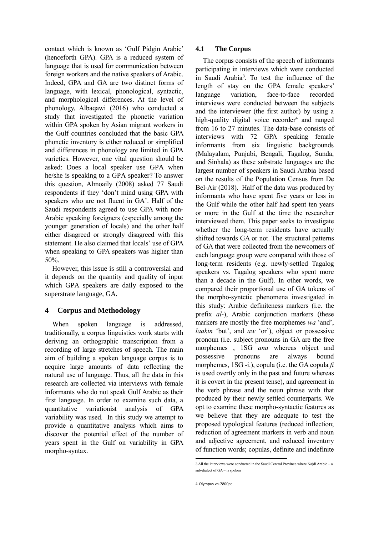contact which is known as 'Gulf Pidgin Arabic' (henceforth GPA). GPA is a reduced system of language that is used for communication between foreign workers and the native speakers of Arabic. Indeed, GPA and GA are two distinct forms of language, with lexical, phonological, syntactic, and morphological differences. At the level of phonology, Albaqawi (2016) who conducted a study that investigated the phonetic variation within GPA spoken by Asian migrant workers in the Gulf countries concluded that the basic GPA phonetic inventory is either reduced or simplified and differences in phonology are limited in GPA varieties. However, one vital question should be asked: Does a local speaker use GPA when he/she is speaking to a GPA speaker? To answer this question, Almoaily (2008) asked 77 Saudi respondents if they 'don't mind using GPA with speakers who are not fluent in GA'. Half of the Saudi respondents agreed to use GPA with non-Arabic speaking foreigners (especially among the younger generation of locals) and the other half either disagreed or strongly disagreed with this statement. He also claimed that locals' use of GPA when speaking to GPA speakers was higher than 50%.

However, this issue is still a controversial and it depends on the quantity and quality of input which GPA speakers are daily exposed to the superstrate language, GA.

# **4 Corpus and Methodology**

When spoken language is addressed, traditionally, a corpus linguistics work starts with deriving an orthographic transcription from a recording of large stretches of speech. The main aim of building a spoken language corpus is to acquire large amounts of data reflecting the natural use of language. Thus, all the data in this research are collected via interviews with female informants who do not speak Gulf Arabic as their first language. In order to examine such data, a quantitative variationist analysis of GPA variability was used. In this study we attempt to provide a quantitative analysis which aims to discover the potential effect of the number of years spent in the Gulf on variability in GPA morpho-syntax.

## **4.1 The Corpus**

The corpus consists of the speech of informants participating in interviews which were conducted in Saudi Arabia<sup>3</sup> . To test the influence of the length of stay on the GPA female speakers' language variation, face-to-face recorded interviews were conducted between the subjects and the interviewer (the first author) by using a high-quality digital voice recorder<sup>4</sup> and ranged from 16 to 27 minutes. The data-base consists of interviews with 72 GPA speaking female informants from six linguistic backgrounds (Malayalam, Punjabi, Bengali, Tagalog, Sunda, and Sinhala) as these substrate languages are the largest number of speakers in Saudi Arabia based on the results of the Population Census from De Bel-Air (2018). Half of the data was produced by informants who have spent five years or less in the Gulf while the other half had spent ten years or more in the Gulf at the time the researcher interviewed them. This paper seeks to investigate whether the long-term residents have actually shifted towards GA or not. The structural patterns of GA that were collected from the newcomers of each language group were compared with those of long-term residents (e.g. newly-settled Tagalog speakers vs. Tagalog speakers who spent more than a decade in the Gulf). In other words, we compared their proportional use of GA tokens of the morpho-syntctic phenomena investigated in this study: Arabic definiteness markers (i.e. the prefix *al-*), Arabic conjunction markers (these markers are mostly the free morphemes *wa* 'and', *laakin* 'but', and *aw* 'or'), object or possessive pronoun (i.e. subject pronouns in GA are the free morphemes , 1SG *ana* whereas object and possessive pronouns are always bound morphemes, 1SG -i.), copula (i.e. the GA copula *fi* is used overtly only in the past and future whereas it is covert in the present tense), and agreement in the verb phrase and the noun phrase with that produced by their newly settled counterparts. We opt to examine these morpho-syntactic features as we believe that they are adequate to test the proposed typological features (reduced inflection; reduction of agreement markers in verb and noun and adjective agreement, and reduced inventory of function words; copulas, definite and indefinite

 3 All the interviews were conducted in the Saudi Central Province where Najdi Arabic – a sub-dialect of GA – is spoken

<sup>4</sup> Olympus vn-7800pc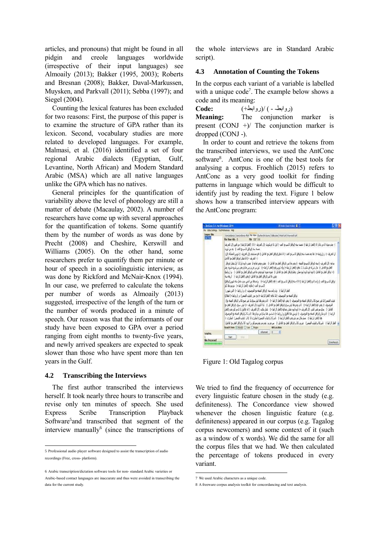articles, and pronouns) that might be found in all pidgin and creole languages worldwide (irrespective of their input languages) see Almoaily (2013); Bakker (1995, 2003); Roberts and Bresnan (2008); Bakker, Daval-Markussen, Muysken, and Parkvall (2011); Sebba (1997); and Siegel (2004).

Counting the lexical features has been excluded for two reasons: First, the purpose of this paper is to examine the structure of GPA rather than its lexicon. Second, vocabulary studies are more related to developed languages. For example, Malmasi, et al. (2016) identified a set of four regional Arabic dialects (Egyptian, Gulf, Levantine, North African) and Modern Standard Arabic (MSA) which are all native languages unlike the GPA which has no natives.

General principles for the quantification of variability above the level of phonology are still a matter of debate (Macaulay, 2002). A number of researchers have come up with several approaches for the quantification of tokens. Some quantify them by the number of words as was done by Precht (2008) and Cheshire, Kerswill and Williams (2005). On the other hand, some researchers prefer to quantify them per minute or hour of speech in a sociolinguistic interview, as was done by Rickford and McNair-Knox (1994). In our case, we preferred to calculate the tokens per number of words as Almoaily (2013) suggested, irrespective of the length of the turn or the number of words produced in a minute of speech. Our reason was that the informants of our study have been exposed to GPA over a period ranging from eight months to twenty-five years, and newly arrived speakers are expected to speak slower than those who have spent more than ten years in the Gulf.

#### **4.2 Transcribing the Interviews**

The first author transcribed the interviews herself. It took nearly three hours to transcribe and revise only ten minutes of speech. She used Express Scribe Transcription Playback Software<sup>5</sup> and transcribed that segment of the interview manually<sup>6</sup> (since the transcriptions of the whole interviews are in Standard Arabic script).

### **4.3 Annotation of Counting the Tokens**

In the corpus each variant of a variable is labelled with a unique code<sup>7</sup>. The example below shows a code and its meaning:

(روابط- - ) /(روابط+) **:Code**

**Meaning:** The conjunction marker is present  $(CONJ +)/$  The conjunction marker is dropped (CONJ -).

In order to count and retrieve the tokens from the transcribed interviews, we used the AntConc software<sup>8</sup>. AntConc is one of the best tools for analysing a corpus. Froehlich (2015) refers to AntConc as a very good toolkit for finding patterns in language which would be difficult to identify just by reading the text. Figure 1 below shows how a transcribed interview appears with the AntConc program:

| - AntConc. 3.4.4w (Windows) 2014         |                                                                              |                                                                                                                                                                                                                                                                                                                                                                  | Mikrobi (Taubikaba) E                                                                                                                                                                                                                                                                                                                                                                                                                                                                                                                                                                                                                                                                                                                                                                                                                                                             |               |
|------------------------------------------|------------------------------------------------------------------------------|------------------------------------------------------------------------------------------------------------------------------------------------------------------------------------------------------------------------------------------------------------------------------------------------------------------------------------------------------------------|-----------------------------------------------------------------------------------------------------------------------------------------------------------------------------------------------------------------------------------------------------------------------------------------------------------------------------------------------------------------------------------------------------------------------------------------------------------------------------------------------------------------------------------------------------------------------------------------------------------------------------------------------------------------------------------------------------------------------------------------------------------------------------------------------------------------------------------------------------------------------------------|---------------|
| Får Gobal Settings Tool Preferences Help |                                                                              |                                                                                                                                                                                                                                                                                                                                                                  |                                                                                                                                                                                                                                                                                                                                                                                                                                                                                                                                                                                                                                                                                                                                                                                                                                                                                   |               |
| <b>Corpus Film</b><br><b>MTM</b>         | File View Hits 0                                                             | Concordance Concordance Plot File View Custwarts Quarte Colocated Word Lat Keyword List<br>File Old T.txt                                                                                                                                                                                                                                                        |                                                                                                                                                                                                                                                                                                                                                                                                                                                                                                                                                                                                                                                                                                                                                                                                                                                                                   |               |
|                                          | : {- أَلَهَرَ بَعْثَ + } أَنَا شَعْلَ (تُوافِقُ أَلْفِعَلَ مِنْ أَلْفَاعِلَ) | خسة سة (توافق الاسرع) القدر ) - مدعن كويت<br>بعين علاص (ترافق الفعل مع القاعل: ) يعتبر (الفعل الرابط -)  لريعه سنة<br>الإسرير العد-) عاقة (الفعل الرابط +) . مرجودها كلو<br>القتل الرابط-) . ولد واهدسته (توافق الصفه مع الموصوف -) ، و (روابط +). التين شهور).<br>ترافق أشبقه من المرضوف -) لا مافيه (الفعل الرابط +) من حوز (غياب الضمير). و (روابط +) المقال) | (- بعد مجنة لا من ذلك لا (العقل الرابط-) خصبة سنة (توافق للإسرمج العد-) اول لا في كويت (ال التعريف-) للا (العقل الرابط(- من قلبين (ال التعريف)<br>ال الفريك-) ، و (روابط +) ها بعد عسه سنه (نوافق لاسرم) لعند -) انا شغل (نوافق العل م) القاعل -) في مستشفر (ال الفريف -) كويس الحملة (ال)<br>بياعة (ال العريف ) سنة (ترافق الإسريق الصفة -) بعد علامي (ترافق العلم) على القطي ) . عشره بعد العديد المواجد الراب لا أول شغل (ترافق<br>العل م؛ الناعل -). مال شركة قر مكب لا لا عاقة (العل الرابط +) وله كويس فيه (العل الرابط +) . كورس غربر بس عادي يعرر س شربه شربه جلب<br>(+ نوافق الفعل من الفاعل -) ابوه ابوه ابوه ابوه ممكن بلظم(لوافق الفعل من الفاعل -)   شوبه شوبه نوه بعدي خلاص (لوافق الفعل من الفاعل -)    و ( إروابط)<br>ترافق لاسرمز العد-) ولما ثان (العل الرابط-) ثلاثة سنة (ترافق للاسرمز العد-) فيه (العل الرابط+) . ولمزها من الص معدمامل سنة شهر (ترافق)      |               |
| Total No.<br><b>Files Processed</b>      | Search Term E Words E Case E Reger<br><b>Stat</b>                            | $\sqrt{2}$<br>Advanced  <br>17/A                                                                                                                                                                                                                                                                                                                                 | غاب الضمر) لا غير صح كاثر الرقق الصلة م؛ المرصوف -) يعدر فيه (قطل الرابط +) - ثابريعدر ها ليش سري لا غير صح كاثر (ترقق الصلة مز)<br>الموضوف ·) يقدر فيه (العل الرابط +)   ثانريقتر قا ليش سوك (ترافق للغل بو القابل ·)   كنا الكويت (ال العريف +) ليش سوك (ترافق الغل بوا<br>التاعل -) . جنب مر نفس الشر: (أن التعريف +) أبوه أبوه عشان بعدفيه (أفعل الرابط +) . شغل مكتب (أل التعريف -) أه تقالوق لا لا مر كلو يعني (أفعل)<br>الرابط ). ثانو مكل (ترافق الصله من المرصوف -) لوسون ها تاقلوق و (روابط +) باساسر. ها سايا من دوناو ها ثانو كالر (ترافق الصله من المرصوف)<br>هَا (الفل الرابط ) - مسلم مكان مو دايو بقدر (الفقل الرابط ) - ناس كاثر (غياب الضمير) الجليز في الأخر (غياب الضمير) الجليزي (-)<br>الفعل الرابط ) - ناس كاثر (غياب الضمير) - غربيا كاثر (توافق الفعل و: القاعل -) - بس غربي بعديد مو يعدي مو يكو بر ا ايود كاثر (توافق الفعل مع القاعل)<br>Hit Location | Clone Results |

Figure 1: Old Tagalog corpus

We tried to find the frequency of occurrence for every linguistic feature chosen in the study (e.g. definiteness). The Concordance view showed whenever the chosen linguistic feature (e.g. definiteness) appeared in our corpus (e.g. Tagalog corpus newcomers) and some context of it (such as a window of x words). We did the same for all the corpus files that we had. We then calculated the percentage of tokens produced in every variant.

 5 Professional audio player software designed to assist the transcription of audio recordings (Free, cross- platform).

<sup>6</sup> Arabic transcription/dictation software tools for non- standard Arabic varieties or Arabic-based contact languages are inaccurate and thus were avoided in transcribing the data for the current study.

 7 We used Arabic characters as a unique code.

<sup>8</sup> A freeware corpus analysis toolkit for concordancing and text analysis.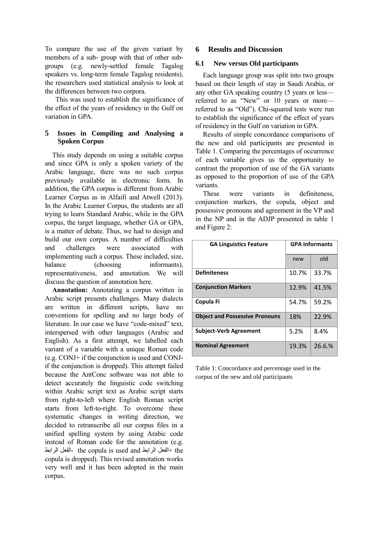To compare the use of the given variant by members of a sub- group with that of other subgroups (e.g. newly-settled female Tagalog speakers vs. long-term female Tagalog residents), the researchers used statistical analysis to look at the differences between two corpora.

This was used to establish the significance of the effect of the years of residency in the Gulf on variation in GPA

### **5 Issues in Compiling and Analysing a Spoken Corpus**

This study depends on using a suitable corpus and since GPA is only a spoken variety of the Arabic language, there was no such corpus previously available in electronic form. In addition, the GPA corpus is different from Arabic Learner Corpus as in Alfaifi and Atwell (2013). In the Arabic Learner Corpus, the students are all trying to learn Standard Arabic, while in the GPA corpus, the target language, whether GA or GPA, is a matter of debate. Thus, we had to design and build our own corpus. A number of difficulties and challenges were associated with implementing such a corpus. These included, size, balance (choosing informants), representativeness, and annotation. We will discuss the question of annotation here.

**Annotation:** Annotating a corpus written in Arabic script presents challenges. Many dialects are written in different scripts, have no conventions for spelling and no large body of literature. In our case we have "code-mixed" text, interspersed with other languages (Arabic and English). As a first attempt, we labelled each variant of a variable with a unique Roman code (e.g. CONJ+ if the conjunction is used and CONJif the conjunction is dropped). This attempt failed because the AntConc software was not able to detect accurately the linguistic code switching within Arabic script text as Arabic script starts from right-to-left where English Roman script starts from left-to-right. To overcome these systematic changes in writing direction, we decided to retranscribe all our corpus files in a unified spelling system by using Arabic code instead of Roman code for the annotation (e.g. الرابط الفعل- the copula is used and الرابط الفعل+ the copula is dropped). This revised annotation works very well and it has been adopted in the main corpus.

# **6 Results and Discussion**

## **6.1 New versus Old participants**

Each language group was split into two groups based on their length of stay in Saudi Arabia, or any other GA speaking country (5 years or less referred to as "New" or 10 years or more referred to as "Old"). Chi-squared tests were run to establish the significance of the effect of years of residency in the Gulf on variation in GPA.

Results of simple concordance comparisons of the new and old participants are presented in Table 1. Comparing the percentages of occurrence of each variable gives us the opportunity to contrast the proportion of use of the GA variants as opposed to the proportion of use of the GPA variants.

These were variants in definiteness, conjunction markers, the copula, object and possessive pronouns and agreement in the VP and in the NP and in the ADJP presented in table 1 and Figure 2:

| <b>GA Linguistics Feature</b>         | <b>GPA Informants</b> |        |
|---------------------------------------|-----------------------|--------|
|                                       | new                   | old    |
| <b>Definiteness</b>                   | 10.7%                 | 33.7%  |
| <b>Conjunction Markers</b>            | 12.9%                 | 41.5%  |
| Copula Fi                             | 54.7%                 | 59.2%  |
| <b>Object and Possessive Pronouns</b> | 18%                   | 22.9%  |
| <b>Subject-Verb Agreement</b>         | 5.2%                  | 8.4%   |
| <b>Nominal Agreement</b>              | 19.3%                 | 26.6.% |

Table 1: Concordance and percentage used in the corpus of the new and old participants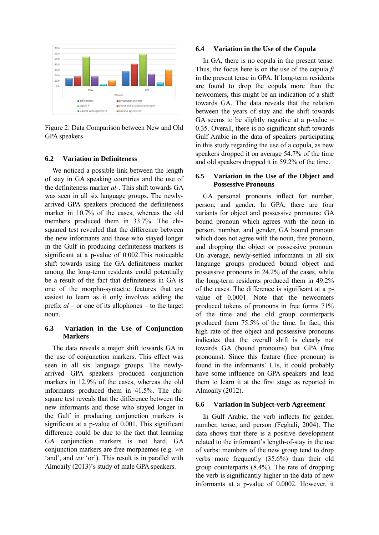

Figure 2: Data Comparison between New and Old GPA speakers

#### **6.2 Variation in Definiteness**

We noticed a possible link between the length of stay in GA speaking countries and the use of the definiteness marker *al-*. This shift towards GA was seen in all six language groups. The newlyarrived GPA speakers produced the definiteness marker in 10.7% of the cases, whereas the old members produced them in 33.7%. The chisquared test revealed that the difference between the new informants and those who stayed longer in the Gulf in producing definiteness markers is significant at a p-value of 0.002.This noticeable shift towards using the GA definiteness marker among the long-term residents could potentially be a result of the fact that definiteness in GA is one of the morpho-syntactic features that are easiest to learn as it only involves adding the prefix *al –* or one of its allophones – to the target noun.

### **6.3 Variation in the Use of Conjunction Markers**

The data reveals a major shift towards GA in the use of conjunction markers. This effect was seen in all six language groups. The newlyarrived GPA speakers produced conjunction markers in 12.9% of the cases, whereas the old informants produced them in 41.5%. The chisquare test reveals that the difference between the new informants and those who stayed longer in the Gulf in producing conjunction markers is significant at a p-value of 0.001. This significant difference could be due to the fact that learning GA conjunction markers is not hard. GA conjunction markers are free morphemes (e.g. *wa*  'and', and *aw* 'or'). This result is in parallel with Almoaily (2013)'s study of male GPA speakers.

#### **6.4 Variation in the Use of the Copula**

In GA, there is no copula in the present tense. Thus, the focus here is on the use of the copula *fi*  in the present tense in GPA. If long-term residents are found to drop the copula more than the newcomers, this might be an indication of a shift towards GA. The data reveals that the relation between the years of stay and the shift towards GA seems to be slightly negative at a p-value  $=$ 0.35. Overall, there is no significant shift towards Gulf Arabic in the data of speakers participating in this study regarding the use of a copula, as new speakers dropped it on average 54.7% of the time and old speakers dropped it in 59.2% of the time.

#### **6.5 Variation in the Use of the Object and Possessive Pronouns**

GA personal pronouns inflect for number, person, and gender. In GPA, there are four variants for object and possessive pronouns: GA bound pronoun which agrees with the noun in person, number, and gender, GA bound pronoun which does not agree with the noun, free pronoun, and dropping the object or possessive pronoun. On average, newly-settled informants in all six language groups produced bound object and possessive pronouns in 24.2% of the cases, while the long-term residents produced them in 49.2% of the cases. The difference is significant at a pvalue of 0.0001. Note that the newcomers produced tokens of pronouns in free forms 71% of the time and the old group counterparts produced them 75.5% of the time. In fact, this high rate of free object and possessive pronouns indicates that the overall shift is clearly not towards GA (bound pronouns) but GPA (free pronouns). Since this feature (free pronoun) is found in the informants' L1s, it could probably have some influence on GPA speakers and lead them to learn it at the first stage as reported in Almoaily (2012).

#### **6.6 Variation in Subject-verb Agreement**

In Gulf Arabic, the verb inflects for gender, number, tense, and person (Feghali, 2004). The data shows that there is a positive development related to the informant's length-of-stay in the use of verbs: members of the new group tend to drop verbs more frequently (35.6%) than their old group counterparts (8.4%). The rate of dropping the verb is significantly higher in the data of new informants at a p-value of 0.0002. However, it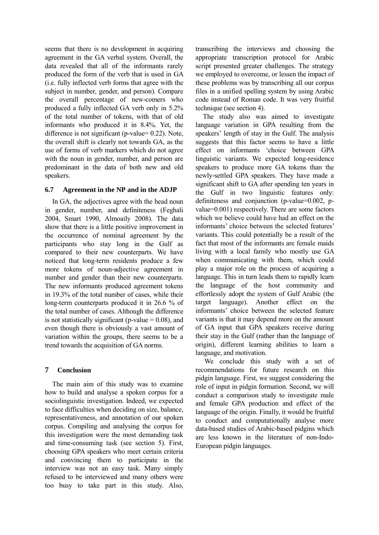seems that there is no development in acquiring agreement in the GA verbal system. Overall, the data revealed that all of the informants rarely produced the form of the verb that is used in GA (i.e. fully inflected verb forms that agree with the subject in number, gender, and person). Compare the overall percentage of new-comers who produced a fully inflected GA verb only in 5.2% of the total number of tokens, with that of old informants who produced it in 8.4%. Yet, the difference is not significant (p-value= 0.22). Note, the overall shift is clearly not towards GA, as the use of forms of verb markers which do not agree with the noun in gender, number, and person are predominant in the data of both new and old speakers.

### **6.7 Agreement in the NP and in the ADJP**

In GA, the adjectives agree with the head noun in gender, number, and definiteness (Feghali 2004, Smart 1990, Almoaily 2008). The data show that there is a little positive improvement in the occurrence of nominal agreement by the participants who stay long in the Gulf as compared to their new counterparts. We have noticed that long-term residents produce a few more tokens of noun-adjective agreement in number and gender than their new counterparts. The new informants produced agreement tokens in 19.3% of the total number of cases, while their long-term counterparts produced it in 26.6 % of the total number of cases. Although the difference is not statistically significant (p-value  $= 0.08$ ), and even though there is obviously a vast amount of variation within the groups, there seems to be a trend towards the acquisition of GA norms.

# **7 Conclusion**

The main aim of this study was to examine how to build and analyse a spoken corpus for a sociolinguistic investigation. Indeed, we expected to face difficulties when deciding on size, balance, representativeness, and annotation of our spoken corpus. Compiling and analysing the corpus for this investigation were the most demanding task and time-consuming task (see section 5). First, choosing GPA speakers who meet certain criteria and convincing them to participate in the interview was not an easy task. Many simply refused to be interviewed and many others were too busy to take part in this study. Also,

transcribing the interviews and choosing the appropriate transcription protocol for Arabic script presented greater challenges. The strategy we employed to overcome, or lessen the impact of these problems was by transcribing all our corpus files in a unified spelling system by using Arabic code instead of Roman code. It was very fruitful technique (see section 4).

The study also was aimed to investigate language variation in GPA resulting from the speakers' length of stay in the Gulf. The analysis suggests that this factor seems to have a little effect on informants 'choice between GPA linguistic variants. We expected long-residence speakers to produce more GA tokens than the newly-settled GPA speakers. They have made a significant shift to GA after spending ten years in the Gulf in two linguistic features only: definiteness and conjunction (p-value=0.002, pvalue=0.001) respectively. There are some factors which we believe could have had an effect on the informants' choice between the selected features' variants. This could potentially be a result of the fact that most of the informants are female maids living with a local family who mostly use GA when communicating with them, which could play a major role on the process of acquiring a language. This in turn leads them to rapidly learn the language of the host community and effortlessly adopt the system of Gulf Arabic (the target language). Another effect on the informants' choice between the selected feature variants is that it may depend more on the amount of GA input that GPA speakers receive during their stay in the Gulf (rather than the language of origin), different learning abilities to learn a language, and motivation.

We conclude this study with a set of recommendations for future research on this pidgin language. First, we suggest considering the role of input in pidgin formation. Second, we will conduct a comparison study to investigate male and female GPA production and effect of the language of the origin. Finally, it would be fruitful to conduct and computationally analyse more data-based studies of Arabic-based pidgins which are less known in the literature of non-Indo-European pidgin languages.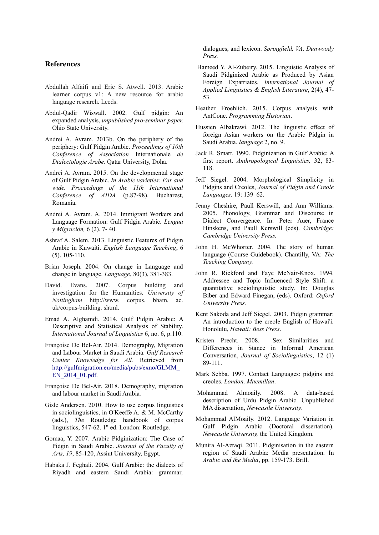#### **References**

- Abdullah Alfaifi and Eric S. Atwell. 2013. Arabic learner corpus v1: A new resource for arabic language research. Leeds.
- Abdul-Qadir Wiswall. 2002. Gulf pidgin: An expanded analysis, *unpublished pro-seminar paper,*  Ohio State University.
- Andrei A. Avram. 2013b. On the periphery of the periphery: Gulf Pidgin Arabic. *Proceedings of 10th Conference of Association* Internationale *de Dialectologie Arabe.* Qatar University, Doha.
- Andrei A. Avram. 2015. On the developmental stage of Gulf Pidgin Arabic. *In Arabic varieties: Far and wide. Proceedings of the 11th International Conference of AIDA* (p.87-98). Bucharest, Romania.
- Andrei A. Avram. A. 2014. Immigrant Workers and Language Formation: Gulf Pidgin Arabic*. Lengua y Migración,* 6 (2). 7- 40.
- Ashraf A. Salem. 2013. Linguistic Features of Pidgin Arabic in Kuwaiti. *English Language Teaching*, 6 (5). 105-110.
- Brian Joseph. 2004. On change in Language and change in language. *Language*, 80(3), 381-383.
- David. Evans. 2007. Corpus building and investigation for the Humanities. *University of Nottingham* http://www. corpus. bham. ac. uk/corpus-building. shtml.
- Emad A. Alghamdi. 2014. Gulf Pidgin Arabic: A Descriptive and Statistical Analysis of Stability. *International Journal of Linguistics* 6, no. 6, p.110.
- Françoise De Bel-Air. 2014. Demography, Migration and Labour Market in Saudi Arabia. *Gulf Research Center Knowledge for All.* Retrieved from http://gulfmigration.eu/media/pubs/exno/GLMM\_ EN\_2014\_01.pdf.
- Françoise De Bel-Air. 2018. Demography, migration and labour market in Saudi Arabia*.*
- Gisle Andersen. 2010. How to use corpus linguistics in sociolinguistics, in O'Keeffe A. & M. McCarthy (ads.), *The* Routledge handbook of corpus linguistics, 547-62. 1" ed. London: Routledge.
- Gomaa, Y. 2007. Arabic Pidginization: The Case of Pidgin in Saudi Arabic. *Journal of the Faculty of Arts, 19*, 85-120, Assiut University, Egypt.
- Habaka J. Feghali. 2004. Gulf Arabic: the dialects of Riyadh and eastern Saudi Arabia: grammar*,*

dialogues, and lexicon. *Springfield, VA, Dunwoody Press.*

- Hameed Y. Al-Zubeiry. 2015. Linguistic Analysis of Saudi Pidginized Arabic as Produced by Asian Foreign Expatriates. *International Journal of Applied Linguistics & English Literature*, 2(4), 47- 53.
- Heather Froehlich. 2015. Corpus analysis with AntConc. *Programming Historian*.
- Hussien Albakrawi. 2012. The linguistic effect of foreign Asian workers on the Arabic Pidgin in Saudi Arabia. *language* 2, no. 9.
- Jack R. Smart. 1990. Pidginization in Gulf Arabic: A first report. *Anthropological Linguistics,* 32, 83- 118.
- Jeff Siegel. 2004. Morphological Simplicity in Pidgins and Creoles, *Journal of Pidgin and Creole Languages,* 19: 139–62.
- Jenny Cheshire, Paull Kerswill, and Ann Williams. 2005. Phonology, Grammar and Discourse in Dialect Convergence. In: Peter Auer, France Hinskens, and Paull Kerswill (eds). *Cambridge: Cambridge University Press.*
- John H. McWhorter. 2004. The story of human language (Course Guidebook). Chantilly, VA: *The Teaching Company.*
- John R. Rickford and Faye McNair-Knox. 1994. Addressee and Topic Influenced Style Shift: a quantitative sociolinguistic study. In: Douglas Biber and Edward Finegan, (eds). Oxford: *Oxford University Press.*
- Kent Sakoda and Jeff Siegel. 2003. Pidgin grammar: An introduction to the creole English of Hawai'i. Honolulu, *Hawaii: Bess Press*.
- Kristen Precht. 2008. Sex Similarities and Differences in Stance in Informal American Conversation, *Journal of Sociolinguistics*, 12 (1) 89-111.
- Mark Sebba. 1997. Contact Languages: pidgins and creoles. *London, Macmillan*.
- Mohammad Almoaily. 2008. A data-based description of Urdu Pidgin Arabic. Unpublished MA dissertation, *Newcastle University*.
- Mohammad AlMoaily. 2012. Language Variation in Gulf Pidgin Arabic (Doctoral dissertation). *Newcastle University,* the United Kingdom.
- Munira Al-Azraqi. 2011. Pidginisation in the eastern region of Saudi Arabia: Media presentation. In *Arabic and the Media*, pp. 159-173. Brill.